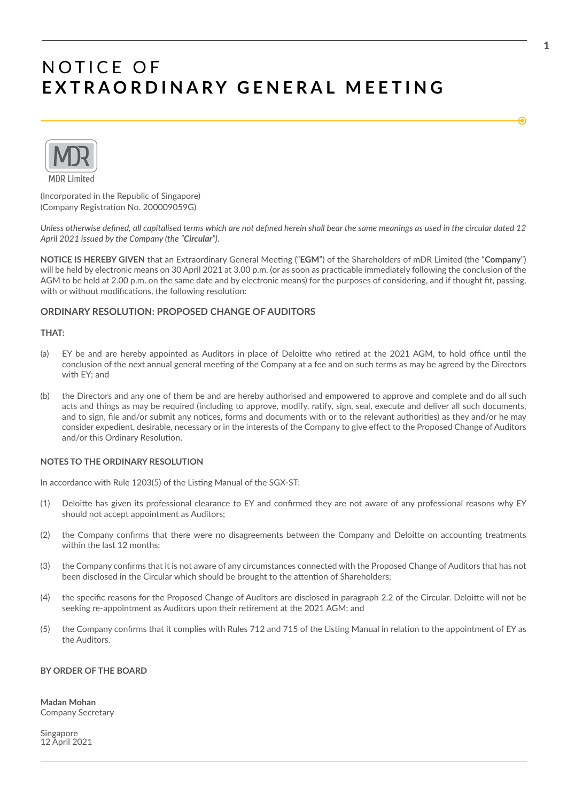

(Incorporated in the Republic of Singapore) (Company Registraton No. 200009059G)

*Unless otherwise defned, all capitalised terms which are not defned herein shall bear the same meanings as used in the circular dated 12 April 2021 issued by the Company (the "Circular").*

**NOTICE IS HEREBY GIVEN** that an Extraordinary General Meetng ("**EGM**") of the Shareholders of mDR Limited (the "**Company**") will be held by electronic means on 30 April 2021 at 3.00 p.m. (or as soon as practicable immediately following the conclusion of the AGM to be held at 2.00 p.m. on the same date and by electronic means) for the purposes of considering, and if thought ft, passing, with or without modifications, the following resolution:

### **ORDINARY RESOLUTION: PROPOSED CHANGE OF AUDITORS**

### **THAT:**

- (a) EY be and are hereby appointed as Auditors in place of Deloitte who retired at the 2021 AGM, to hold office until the conclusion of the next annual general meeting of the Company at a fee and on such terms as may be agreed by the Directors with EY; and
- (b) the Directors and any one of them be and are hereby authorised and empowered to approve and complete and do all such acts and things as may be required (including to approve, modify, ratfy, sign, seal, execute and deliver all such documents, and to sign, file and/or submit any notices, forms and documents with or to the relevant authorities) as they and/or he may consider expedient, desirable, necessary or in the interests of the Company to give efect to the Proposed Change of Auditors and/or this Ordinary Resolution.

#### **NOTES TO THE ORDINARY RESOLUTION**

In accordance with Rule 1203(5) of the Listing Manual of the SGX-ST:

- (1) Deloite has given its professional clearance to EY and confrmed they are not aware of any professional reasons why EY should not accept appointment as Auditors;
- (2) the Company confrms that there were no disagreements between the Company and Deloite on accountng treatments within the last 12 months;
- (3) the Company confrms that it is not aware of any circumstances connected with the Proposed Change of Auditors that has not been disclosed in the Circular which should be brought to the atenton of Shareholders;
- (4) the specifc reasons for the Proposed Change of Auditors are disclosed in paragraph 2.2 of the Circular. Deloite will not be seeking re-appointment as Auditors upon their retrement at the 2021 AGM; and
- (5) the Company confrms that it complies with Rules 712 and 715 of the Listng Manual in relaton to the appointment of EY as the Auditors.

#### **BY ORDER OF THE BOARD**

**Madan Mohan** Company Secretary

Singapore 12 April 2021 €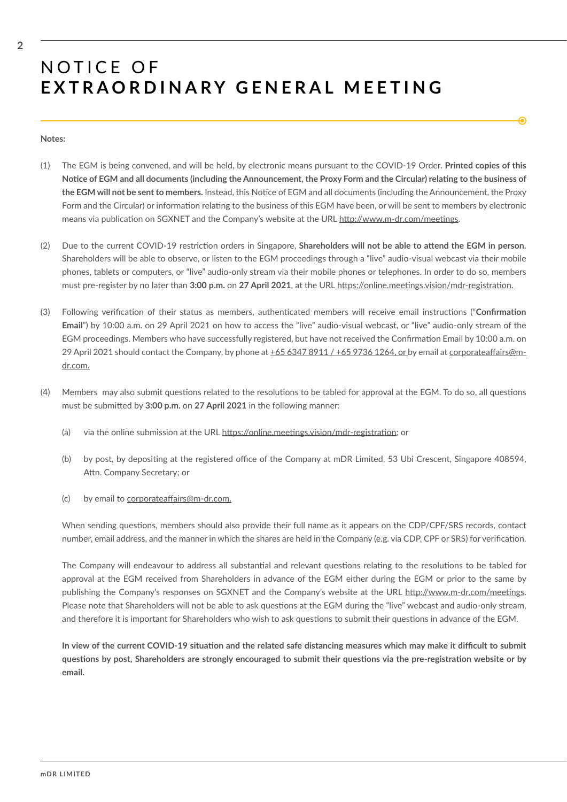#### **Notes:**

(1) The EGM is being convened, and will be held, by electronic means pursuant to the COVID-19 Order. **Printed copies of this**  Notice of EGM and all documents (including the Announcement, the Proxy Form and the Circular) relating to the business of the EGM will not be sent to members. Instead, this Notice of EGM and all documents (including the Announcement, the Proxy Form and the Circular) or information relating to the business of this EGM have been, or will be sent to members by electronic means via publication on SGXNET and the Company's website at the URL http://www.m-dr.com/meetings.

€

- (2) Due to the current COVID-19 restricton orders in Singapore, **Shareholders will not be able to atend the EGM in person.** Shareholders will be able to observe, or listen to the EGM proceedings through a "live" audio-visual webcast via their mobile phones, tablets or computers, or "live" audio-only stream via their mobile phones or telephones. In order to do so, members must pre-register by no later than **3:00 p.m.** on **27 April 2021**, at the URL htps://online.meetngs.vision/mdr-registraton.
- (3) Following verifcaton of their status as members, authentcated members will receive email instructons ("**Confrmaton Email**") by 10:00 a.m. on 29 April 2021 on how to access the "live" audio-visual webcast, or "live" audio-only stream of the EGM proceedings. Members who have successfully registered, but have not received the Confrmaton Email by 10:00 a.m. on 29 April 2021 should contact the Company, by phone at  $+6563478911/ +6597361264$ , or by email at corporateaffairs@mdr.com.
- (4) Members may also submit questons related to the resolutons to be tabled for approval at the EGM. To do so, all questons must be submited by **3:00 p.m.** on **27 April 2021** in the following manner:
	- (a) via the online submission at the URL https://online.meetings.vision/mdr-registration; or
	- (b) by post, by depositing at the registered office of the Company at mDR Limited, 53 Ubi Crescent, Singapore 408594, Attn. Company Secretary; or
	- $(c)$  by email to corporateaffairs@m-dr.com.

When sending questons, members should also provide their full name as it appears on the CDP/CPF/SRS records, contact number, email address, and the manner in which the shares are held in the Company (e.g. via CDP, CPF or SRS) for verifcaton.

The Company will endeavour to address all substantial and relevant questions relating to the resolutions to be tabled for approval at the EGM received from Shareholders in advance of the EGM either during the EGM or prior to the same by publishing the Company's responses on SGXNET and the Company's website at the URL http://www.m-dr.com/meetings. Please note that Shareholders will not be able to ask questions at the EGM during the "live" webcast and audio-only stream, and therefore it is important for Shareholders who wish to ask questions to submit their questions in advance of the EGM.

In view of the current COVID-19 situation and the related safe distancing measures which may make it difficult to submit **questons by post, Shareholders are strongly encouraged to submit their questons via the pre-registraton website or by email.**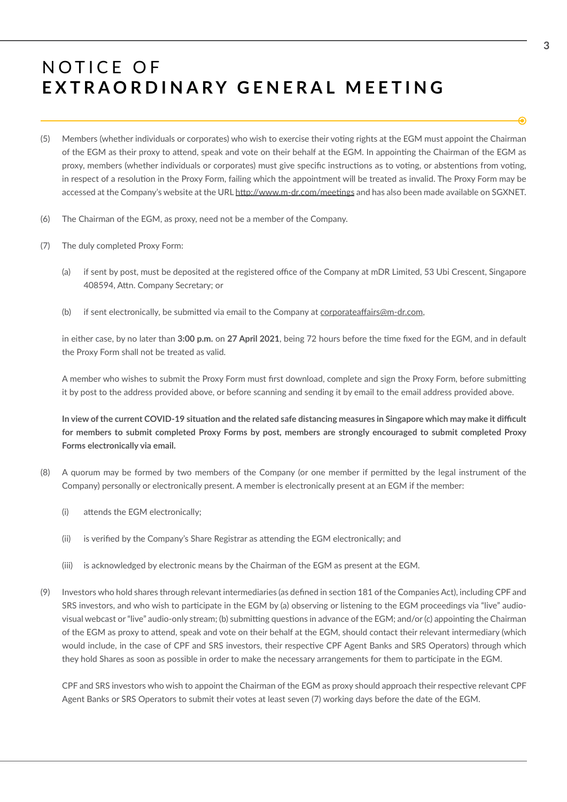- (5) Members (whether individuals or corporates) who wish to exercise their votng rights at the EGM must appoint the Chairman of the EGM as their proxy to attend, speak and vote on their behalf at the EGM. In appointing the Chairman of the EGM as proxy, members (whether individuals or corporates) must give specific instructions as to voting, or abstentions from voting, in respect of a resolution in the Proxy Form, failing which the appointment will be treated as invalid. The Proxy Form may be accessed at the Company's website at the URL http://www.m-dr.com/meetings and has also been made available on SGXNET.
- (6) The Chairman of the EGM, as proxy, need not be a member of the Company.
- (7) The duly completed Proxy Form:
	- (a) if sent by post, must be deposited at the registered office of the Company at mDR Limited, 53 Ubi Crescent, Singapore 408594, Attn. Company Secretary; or
	- (b) if sent electronically, be submitted via email to the Company at corporateaffairs@m-dr.com,

in either case, by no later than **3:00 p.m.** on **27 April 2021**, being 72 hours before the tme fxed for the EGM, and in default the Proxy Form shall not be treated as valid.

A member who wishes to submit the Proxy Form must first download, complete and sign the Proxy Form, before submitting it by post to the address provided above, or before scanning and sending it by email to the email address provided above.

In view of the current COVID-19 situation and the related safe distancing measures in Singapore which may make it difficult **for members to submit completed Proxy Forms by post, members are strongly encouraged to submit completed Proxy Forms electronically via email.**

- (8) A quorum may be formed by two members of the Company (or one member if permited by the legal instrument of the Company) personally or electronically present. A member is electronically present at an EGM if the member:
	- (i) attends the EGM electronically;
	- (ii) is verifed by the Company's Share Registrar as atending the EGM electronically; and
	- (iii) is acknowledged by electronic means by the Chairman of the EGM as present at the EGM.
- (9) Investors who hold shares through relevant intermediaries (as defned in secton 181 of the Companies Act), including CPF and SRS investors, and who wish to partcipate in the EGM by (a) observing or listening to the EGM proceedings via "live" audiovisual webcast or "live" audio-only stream; (b) submitting questions in advance of the EGM; and/or (c) appointing the Chairman of the EGM as proxy to atend, speak and vote on their behalf at the EGM, should contact their relevant intermediary (which would include, in the case of CPF and SRS investors, their respective CPF Agent Banks and SRS Operators) through which they hold Shares as soon as possible in order to make the necessary arrangements for them to partcipate in the EGM.

CPF and SRS investors who wish to appoint the Chairman of the EGM as proxy should approach their respectve relevant CPF Agent Banks or SRS Operators to submit their votes at least seven (7) working days before the date of the EGM.